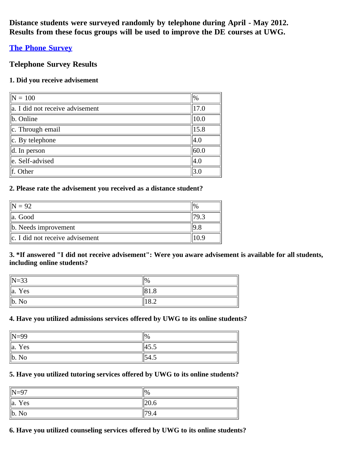**Distance students were surveyed randomly by telephone during April - May 2012. Results from these focus groups will be used to improve the DE courses at UWG.**

# **[The Phone Survey](http://www.surveymonkey.com/s/PhoneSurveys2012)**

# **Telephone Survey Results**

## **1. Did you receive advisement**

| $\overline{N} = 100$                 | $\frac{1}{2}$ |
|--------------------------------------|---------------|
| $\ $ a. I did not receive advisement | 17.0          |
| $\ $ b. Online                       | 10.0          |
| $\ c.$ Through email                 | 15.8          |
| $\ c.$ By telephone                  | 4.0           |
| $\parallel$ d. In person             | 60.0          |
| le. Self-advised                     | 4.0           |
| $\ $ f. Other                        | 3.0           |

## **2. Please rate the advisement you received as a distance student?**

| $= 92$                                 |  |
|----------------------------------------|--|
| $\parallel$ a. Good                    |  |
| $\ $ b. Needs improvement              |  |
| $\ c\ $ . I did not receive advisement |  |

## **3. \*If answered "I did not receive advisement": Were you aware advisement is available for all students, including online students?**

| $\parallel$ N=33          | $\frac{1}{2}$           |
|---------------------------|-------------------------|
| $\ a\ $<br>Yes            | 81.8                    |
| $\ $ b.<br>N <sub>0</sub> | $\circ$ $\circ$<br>10.2 |

## **4. Have you utilized admissions services offered by UWG to its online students?**

| N=99         | $\frac{10}{6}$ |
|--------------|----------------|
| Yes<br>∥a.   | 45.5           |
| $\ b. N_0\ $ | ᠇.             |

## **5. Have you utilized tutoring services offered by UWG to its online students?**

| $\parallel$ N=97   | $\frac{10}{6}$ |
|--------------------|----------------|
| $\parallel$ a. Yes | .120.6         |
| $\ $ b. No         | 79.4           |

## **6. Have you utilized counseling services offered by UWG to its online students?**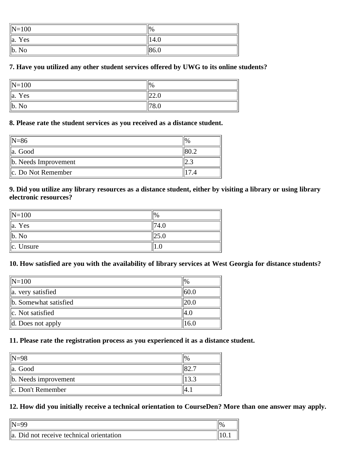| $\ N=100$      | $\frac{1}{2}$ |
|----------------|---------------|
| $\ a\ $<br>Yes | 14.6          |
| $\ $ b. No     | 86.0          |

## **7. Have you utilized any other student services offered by UWG to its online students?**

| $\vert$ N=100      | $\frac{10}{6}$ |
|--------------------|----------------|
| $\parallel$ a. Yes | ا⊾⊶ا           |
| $\ $ b. No         |                |

#### **8. Please rate the student services as you received as a distance student.**

| $\parallel$ N=86          |  |
|---------------------------|--|
| $\ $ a. Good              |  |
| $\ $ b. Needs Improvement |  |
| $\ c.$ Do Not Remember    |  |

### **9. Did you utilize any library resources as a distance student, either by visiting a library or using library electronic resources?**

| $\ N=100$          |  |
|--------------------|--|
| $\parallel$ a. Yes |  |
| $\ $ b. No         |  |
| $\ c.$ Unsure      |  |

#### **10. How satisfied are you with the availability of library services at West Georgia for distance students?**

| $\ N=100$                     | $\frac{10}{6}$ |
|-------------------------------|----------------|
| a. very satisfied             | 60.0           |
| b. Somewhat satisfied         |                |
| lc. Not satisfied             | I4.O           |
| $\parallel$ d. Does not apply | 16.0           |

# **11. Please rate the registration process as you experienced it as a distance student.**

| $\mathbb{N}=98$           | $\%$ |
|---------------------------|------|
| lla. Good                 |      |
| $\ $ b. Needs improvement |      |
| c. Don't Remember         |      |

# **12. How did you initially receive a technical orientation to CourseDen? More than one answer may apply.**

| a. Did not receive technical orientation | 11V. |
|------------------------------------------|------|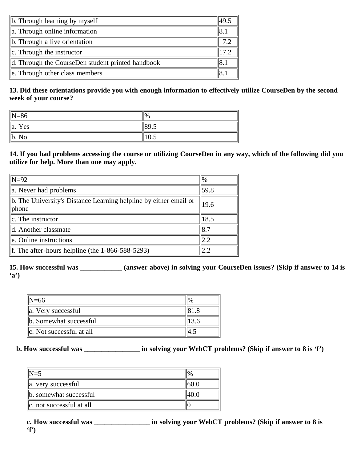| $\ $ b. Through learning by myself                | 49.5 |
|---------------------------------------------------|------|
| $\ $ a. Through online information                | I8.1 |
| $\ $ b. Through a live orientation                | 17.2 |
| $\ c\ $ . Through the instructor                  | 17.2 |
| d. Through the CourseDen student printed handbook | 18.1 |
| $\parallel$ e. Through other class members        |      |

**13. Did these orientations provide you with enough information to effectively utilize CourseDen by the second week of your course?**

| $\parallel$ N=86   | $\frac{10}{6}$ |
|--------------------|----------------|
| $\parallel$ a. Yes | 89.5           |
| $\ $ b. No         | 10.5           |

**14. If you had problems accessing the course or utilizing CourseDen in any way, which of the following did you utilize for help. More than one may apply.**

| $\parallel$ N=92                                                                       | $\frac{10}{6}$ |
|----------------------------------------------------------------------------------------|----------------|
| $\parallel$ a. Never had problems                                                      | 59.8           |
| b. The University's Distance Learning helpline by either email or<br>$\parallel$ phone | 19.6           |
| $\ c.$ The instructor                                                                  | 18.5           |
| d. Another classmate                                                                   | 18.7           |
| le. Online instructions                                                                | 2.2            |
| If. The after-hours helpline (the $1-866-588-5293$ )                                   | 2.2            |

**15. How successful was \_\_\_\_\_\_\_\_\_\_\_\_ (answer above) in solving your CourseDen issues? (Skip if answer to 14 is 'a')**

| $IN=66$                         |  |
|---------------------------------|--|
| a. Very successful              |  |
| b. Somewhat successful          |  |
| $\ c\ $ . Not successful at all |  |

## **b. How successful was \_\_\_\_\_\_\_\_\_\_\_\_\_\_\_\_ in solving your WebCT problems? (Skip if answer to 8 is 'f')**

| $\parallel$ N=5               | $^{10\%}$ |
|-------------------------------|-----------|
| $\ $ a. very successful       |           |
| b. somewhat successful        |           |
| $\ c\ $ not successful at all |           |

**c. How successful was \_\_\_\_\_\_\_\_\_\_\_\_\_\_\_\_ in solving your WebCT problems? (Skip if answer to 8 is 'f')**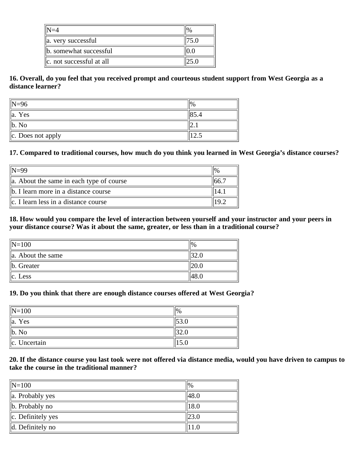| a. very successful         |  |
|----------------------------|--|
| b. somewhat successful     |  |
| lle. not successful at all |  |

**16. Overall, do you feel that you received prompt and courteous student support from West Georgia as a distance learner?**

| $\parallel$ N=96      |                          |
|-----------------------|--------------------------|
| $\parallel$ a. Yes    |                          |
| b. No                 | د و که ۱                 |
| $\ c.$ Does not apply | $1 \Delta \ddot{\omega}$ |

### **17. Compared to traditional courses, how much do you think you learned in West Georgia's distance courses?**

| $\parallel$ N=99                                     |  |
|------------------------------------------------------|--|
| $\parallel$ a. About the same in each type of course |  |
| $\ $ b. I learn more in a distance course            |  |
| $\ c\ $ . I learn less in a distance course          |  |

**18. How would you compare the level of interaction between yourself and your instructor and your peers in your distance course? Was it about the same, greater, or less than in a traditional course?**

| $\vert\vert N=100$     | $\frac{10}{6}$ |
|------------------------|----------------|
| $\ $ a. About the same |                |
| $\ $ b. Greater        |                |
| $\ c.$ Less            |                |

#### **19. Do you think that there are enough distance courses offered at West Georgia?**

| $\ N=100$          |     |
|--------------------|-----|
| $\parallel$ a. Yes |     |
| $\ $ b. No         | 2.U |
| $\ c.$ Uncertain   |     |

### **20. If the distance course you last took were not offered via distance media, would you have driven to campus to take the course in the traditional manner?**

| $\vert\vert N=100$           | $\frac{10}{6}$ |
|------------------------------|----------------|
| $\ $ a. Probably yes         | 48.0           |
| $\ $ b. Probably no          | 18.0           |
| $\ c.$ Definitely yes        |                |
| $\parallel$ d. Definitely no |                |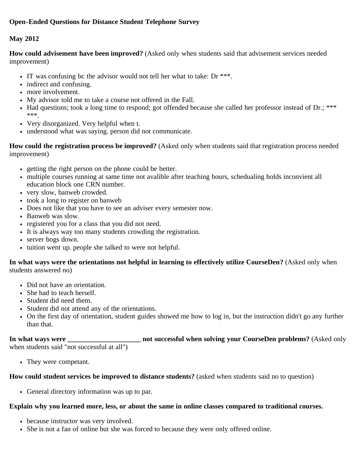## **May 2012**

**How could advisement have been improved?** (Asked only when students said that advisement services needed improvement)

- IT was confusing be the advisor would not tell her what to take: Dr  $***$ .
- indirect and confusing.
- more involvement.
- My advisor told me to take a course not offered in the Fall.
- Had questions; took a long time to respond; got offended because she called her professor instead of Dr.; \*\*\* \*\*\*.
- Very disorganized. Very helpful when t.
- understood what was saying. person did not communicate.

**How could the registration process be improved?** (Asked only when students said that registration process needed improvement)

- getting the right person on the phone could be better.
- multiple courses running at same time not avalible after teaching hours, schedualing holds inconvient all education block one CRN number.
- very slow, banweb crowded.
- took a long to register on banweb
- Does not like that you have to see an adviser every semester now.
- Banweb was slow.
- registered you for a class that you did not need.
- It is always way too many students crowding the registration.
- server bogs down.
- tuition went up. people she talked to were not helpful.

**In what ways were the orientations not helpful in learning to effectively utilize CourseDen?** (Asked only when students answered no)

- Did not have an orientation.
- She had to teach herself.
- Student did need them.
- Student did not attend any of the orientations.
- On the first day of orientation, student guides showed me how to log in, but the instruction didn't go any further than that.

## **In what ways were \_\_\_\_\_\_\_\_\_\_\_\_\_\_\_\_\_\_\_\_\_ not successful when solving your CourseDen problems?** (Asked only when students said "not successful at all")

They were competant.

## **How could student services be improved to distance students?** (asked when students said no to question)

General directory information was up to par.

## **Explain why you learned more, less, or about the same in online classes compared to traditional courses.**

- because instructor was very involved.
- She is not a fan of online but she was forced to because they were only offered online.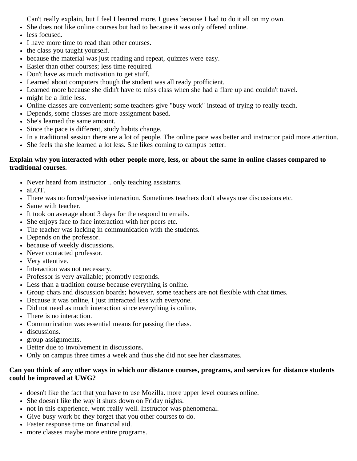Can't really explain, but I feel I leanred more. I guess because I had to do it all on my own.

- She does not like online courses but had to because it was only offered online.
- less focused.
- I have more time to read than other courses.
- the class you taught yourself.
- because the material was just reading and repeat, quizzes were easy.
- Easier than other courses; less time required.
- Don't have as much motivation to get stuff.
- Learned about computers though the student was all ready profficient.
- Learned more because she didn't have to miss class when she had a flare up and couldn't travel.
- might be a little less.
- Online classes are convenient; some teachers give "busy work" instead of trying to really teach.
- Depends, some classes are more assignment based.
- She's learned the same amount.
- Since the pace is different, study habits change.
- In a traditional session there are a lot of people. The online pace was better and instructor paid more attention.
- She feels tha she learned a lot less. She likes coming to campus better.

### **Explain why you interacted with other people more, less, or about the same in online classes compared to traditional courses.**

- Never heard from instructor .. only teaching assistants.
- aLOT.
- There was no forced/passive interaction. Sometimes teachers don't always use discussions etc.
- Same with teacher.
- It took on average about 3 days for the respond to emails.
- She enjoys face to face interaction with her peers etc.
- The teacher was lacking in communication with the students.
- Depends on the professor.
- because of weekly discussions.
- Never contacted professor.
- Very attentive.
- Interaction was not necessary.
- Professor is very available; promptly responds.
- Less than a tradition course because everything is online.
- Group chats and discussion boards; however, some teachers are not flexible with chat times.
- Because it was online, I just interacted less with everyone.
- Did not need as much interaction since everything is online.
- There is no interaction.
- Communication was essential means for passing the class.
- discussions.
- group assignments.
- Better due to involvement in discussions.
- Only on campus three times a week and thus she did not see her classmates.

### **Can you think of any other ways in which our distance courses, programs, and services for distance students could be improved at UWG?**

- doesn't like the fact that you have to use Mozilla. more upper level courses online.
- She doesn't like the way it shuts down on Friday nights.
- not in this experience. went really well. Instructor was phenomenal.
- Give busy work bc they forget that you other courses to do.
- Faster response time on financial aid.
- more classes maybe more entire programs.